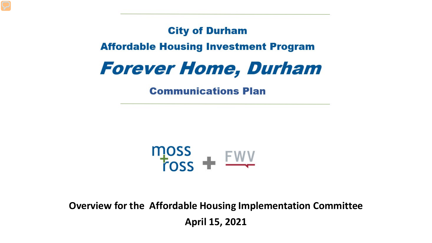**City of Durham** 

**Affordable Housing Investment Program** 



**Communications Plan** 



**Overview for the Affordable Housing Implementation Committee April 15, 2021**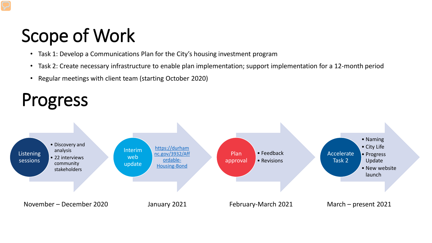# Scope of Work

- Task 1: Develop a Communications Plan for the City's housing investment program
- Task 2: Create necessary infrastructure to enable plan implementation; support implementation for a 12-month period
- Regular meetings with client team (starting October 2020)

## Progress

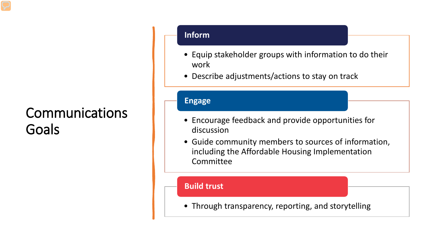## Communications Goals

### **Inform**

- Equip stakeholder groups with information to do their work
- Describe adjustments/actions to stay on track

### **Engage**

- Encourage feedback and provide opportunities for discussion
- Guide community members to sources of information, including the Affordable Housing Implementation Committee

### **Build trust**

• Through transparency, reporting, and storytelling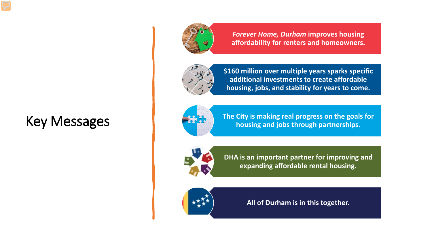## Key Messages



*Forever Home, Durham* **improves housing affordability for renters and homeowners.**



**\$160 million over multiple years sparks specific additional investments to create affordable housing, jobs, and stability for years to come.**



**The City is making real progress on the goals for housing and jobs through partnerships.**



**DHA is an important partner for improving and expanding affordable rental housing.**



**All of Durham is in this together.**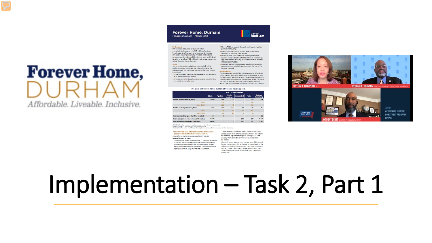# **Forever Home,** Affordable, Liveable, Inclusive,

### **Forever Home, Durham** Progress Update - March 2021

Background<br>In November 2019, City of Durham voters overwhelmingly approved a \$95 million affordable<br>housing bond referendum to preserve and increase affordable housing in our city. The \$95 million bond funds are combined with \$65 million in local and federal funding to create a \$160 million investment program now called "Forever Home, Durham."

Working alongside multiple partners including the Durham Housing Authority, the City will achieve the following over the multi-year period of the \$160 million

\* Build 1,600 new affordable rental homes and preserve 800 affordable rental homes.

+ Provide 400 affordable home ownership opportunities for first-time homebuyers.

opportunities for minority and women owned business enterprises (MWBEs). \* Support nearly 3,000 jobs as a result of construction, operations, and resident spending over the life of the housing created. **Bond specifics** The timing and amount of tax rate increases for Affordable

\* Move 1,700 homeless individuals and households into

\* Help 3,000 low-Income renters and homeowners remain in or improve their homes.

\* Leverage over \$400 million in funding from other

sources and create at least \$130 million in contracting

CITY OF<br>**DURHAM** 

permanent housing.

Housing Bond debt service will be determined year to year by City Council. At this time, City Council budget guidelines Indicate that the property tax rate increase will be 1.38 cents per \$100 of assessed property value; however, the final amount will be determined during the FY22 budget process

### Progress on Forever Home, Durham affordable housing goals

|                                       | July 1, 2019 to Present |                |                          |            |              |                             |
|---------------------------------------|-------------------------|----------------|--------------------------|------------|--------------|-----------------------------|
|                                       | <b>GOAL</b>             | Pipeline       | <b>Under</b><br>Contract | Completed  | <b>Total</b> | <b>Balance</b><br>Remaining |
| Rental homes created, total           | 1,600                   | 466            | 115                      |            | 581          | 1,019                       |
| <b>DHA</b>                            |                         | 236            |                          |            | 236          |                             |
| $Non-DBA$                             |                         | 230            | $\overline{\text{BE}}$   |            | 345          |                             |
| Rental homes preserved, total         | 800                     | 266            | 226                      | 34         | 526          | 274                         |
| <b>DHA</b>                            |                         | 224            | 17R                      | 30         | 432          |                             |
| Non-DHA                               |                         | 42             | 48                       |            | 94           |                             |
| Homeownership opportunities created   | 400                     | $\overline{7}$ | ۰                        |            | 7            | 393                         |
| Homeless persons in permanent housing | 1,700                   | ۰              | ۰                        | <b>278</b> | 278          | 1,422                       |
| Low income households stabilized      | 3,000                   | ۰              | $\overline{\phantom{a}}$ | <b>SR7</b> | 587          | 2,413                       |

ndation made, contract not yet executed

Under contract: City funding contract executed.<br>Completed: for units, certificate of compliance received; for services, service delivered.

### +Build 1.600 new affordable rental homes and Sub-Henderson Apartments New Construction - New preserve 800 affordable rental homes. Examples of Durham Housing Authority (DHA) redevelopment projects · JJ Henderson Tower Rehabilitation - Complete update of

178 rental homes serving extremely low-income elderly households. Residents will be accommodated on site while their units are being rehabbed. Total development cost: \$31.2 million, City Investment: \$2.9 million.

development cost: \$16.2 million, City Investment \$3 million. · Elizabeth Street Apartments: 72 new affordable rental homes for families. This is the first of five phases in the redevelopment of the combined 519 E. Main (formerly Oldham Tower) and Liberty Street Apartments sites. Total development cost: \$15 million, City investment \$1.1 million.

construction of 80 affordable rental homes for elderly

households expected to begin in spring 2021, Total

**EVERLY B. THOMPSON REGINALD J. JOHNSON** DIRECTOR I COMMUNITY DEVELOPMENT DEP

**CITY LIFE** 

**JEFORDARI E HOUSING INVESTMENT PROGRAM UPDATE** 

# Implementation - Task 2, Part 1